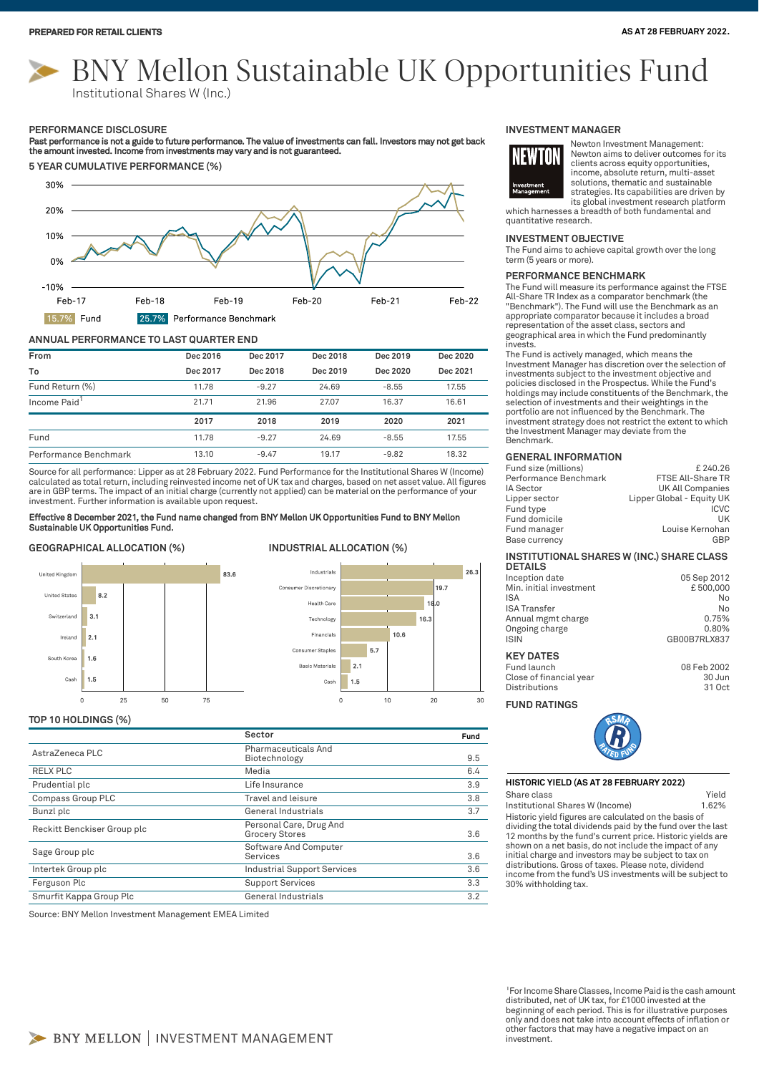# BNY Mellon Sustainable UK Opportunities Fund Institutional Shares W (Inc.)

#### **PERFORMANCE DISCLOSURE**

Past performance is not a guide to future performance. The value of investments can fall. Investors may not get back<br>the amount invested. Income from investments may vary and is not guaranteed.



# **ANNUAL PERFORMANCE TO LAST QUARTER END**

| From                     | Dec 2016 | Dec 2017 | Dec 2018 | Dec 2019 | Dec 2020 |
|--------------------------|----------|----------|----------|----------|----------|
| To                       | Dec 2017 | Dec 2018 | Dec 2019 | Dec 2020 | Dec 2021 |
| Fund Return (%)          | 11.78    | $-9.27$  | 24.69    | $-8.55$  | 17.55    |
| Income Paid <sup>1</sup> | 21.71    | 21.96    | 27.07    | 16.37    | 16.61    |
|                          | 2017     | 2018     | 2019     | 2020     | 2021     |
| Fund                     | 11.78    | $-9.27$  | 24.69    | $-8.55$  | 17.55    |
| Performance Benchmark    | 13.10    | $-9.47$  | 19.17    | $-9.82$  | 18.32    |

Source for all performance: Lipper as at 28 February 2022. Fund Performance for the Institutional Shares W (Income) calculated as total return, including reinvested income net of UK tax and charges, based on net asset value. All figures<br>are in GBP terms. The impact of an initial charge (currently not applied) can be material on the perf investment. Further information is available upon request.

the absence of a to

Health Care

Technology

Financials

Consumer Staple

Basic Materials

Coch

 $\Omega$ 

Consumer Discretionary

# Effective 8 December 2021, the Fund name changed from BNY Mellon UK Opportunities Fund to BNY Mellon Sustainable UK Opportunities Fund.

# **GEOGRAPHICAL ALLOCATION (%) INDUSTRIAL ALLOCATION (%)**



# **TOP 10 HOLDINGS (%)**

|                             | Sector                                           | Fund |
|-----------------------------|--------------------------------------------------|------|
| AstraZeneca PLC             | Pharmaceuticals And<br>Biotechnology             | 9.5  |
| RELX PLC                    | Media                                            | 6.4  |
| Prudential plc              | Life Insurance                                   | 3.9  |
| Compass Group PLC           | Travel and leisure                               | 3.8  |
| Bunzl plc                   | General Industrials                              | 3.7  |
| Reckitt Benckiser Group plc | Personal Care, Drug And<br><b>Grocery Stores</b> | 3.6  |
| Sage Group plc              | Software And Computer<br>Services                | 3.6  |
| Intertek Group plc          | <b>Industrial Support Services</b>               | 3.6  |
| Ferguson Plc                | <b>Support Services</b>                          | 3.3  |
| Smurfit Kappa Group Plc     | General Industrials                              | 3.2  |
|                             |                                                  |      |

Source: BNY Mellon Investment Management EMEA Limited

# **INVESTMENT MANAGER**



Newton Investment Management: Newton aims to deliver outcomes for its clients across equity opportunities, income, absolute return, multi-asset solutions, thematic and sustainable strategies. Its capabilities are driven by its global investment research platform

which harnesses a breadth of both fundamental and quantitative research.

# **INVESTMENT OBJECTIVE**

The Fund aims to achieve capital growth over the long term (5 years or more).

#### **PERFORMANCE BENCHMARK**

The Fund will measure its performance against the FTSE All-Share TR Index as a comparator benchmark (the "Benchmark"). The Fund will use the Benchmark as an appropriate comparator because it includes a broad representation of the asset class, sectors and geographical area in which the Fund predominantly invests.

The Fund is actively managed, which means the Investment Manager has discretion over the selection of investments subject to the investment objective and policies disclosed in the Prospectus. While the Fund's holdings may include constituents of the Benchmark, the selection of investments and their weightings in the portfolio are not influenced by the Benchmark. The investment strategy does not restrict the extent to which the Investment Manager may deviate from the Benchmark.

# **GENERAL INFORMATION**

| £240.26                   |
|---------------------------|
| FTSE All-Share TR         |
| UK All Companies          |
| Lipper Global - Equity UK |
| <b>ICVC</b>               |
| UK                        |
| Louise Kernohan           |
| GBP                       |
|                           |

#### **INSTITUTIONAL SHARES W (INC.) SHARE CLASS DETAILS**

| Inception date          | 05 Sep 2012  |
|-------------------------|--------------|
| Min. initial investment | £500.000     |
| ISA                     | No           |
| <b>ISA Transfer</b>     | No           |
| Annual mgmt charge      | 0.75%        |
| Ongoing charge          | 0.80%        |
| <b>ISIN</b>             | GB00B7RLX837 |
|                         |              |

# **KEY DATES**

 $26.3$ 

30

 $19.7$ 

 $16.$ 

20

 $10.6$ 

5.7

 $10$ 

 $2.1$ 

 $1.5$ 

Fund launch 08 Feb 2002 Close of financial year 30 Jun Distributions

# **FUND RATINGS**



#### **HISTORIC YIELD (AS AT 28 FEBRUARY 2022)**

Share class **Yield** 

Historic yield figures are calculated on the basis of dividing the total dividends paid by the fund over the last 12 months by the fund's current price. Historic yields are shown on a net basis, do not include the impact of any initial charge and investors may be subject to tax on distributions. Gross of taxes. Please note, dividend income from the fund's US investments will be subject to 30% withholding tax. Institutional Shares W (Income) 1.62%

<sup>1</sup>For Income Share Classes, Income Paid is the cash amount distributed, net of UK tax, for £1000 invested at the beginning of each period. This is for illustrative purposes only and does not take into account effects of inflation or other factors that may have a negative impact on an investment.